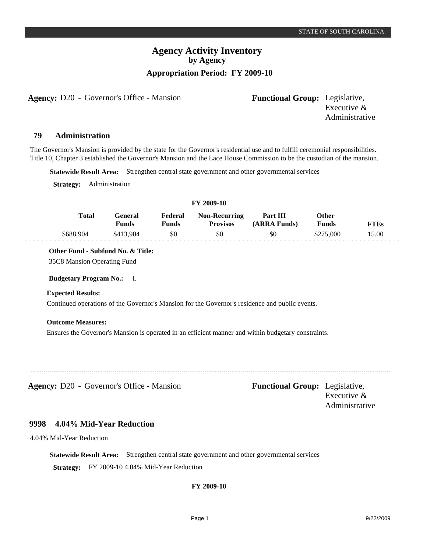Administrative

# **Agency Activity Inventory by Agency Appropriation Period: FY 2009-10**

**Agency:** D20 - Governor's Office - Mansion **Functional Group:** Legislative,

Executive &

**Administration 79**

The Governor's Mansion is provided by the state for the Governor's residential use and to fulfill ceremonial responsibilities. Title 10, Chapter 3 established the Governor's Mansion and the Lace House Commission to be the custodian of the mansion.

**Statewide Result Area:** Strengthen central state government and other governmental services

**Strategy:** Administration

## **FY 2009-10**

| <b>Total</b> | Feneral<br>Funds | Federal<br>Funds | <b>Non-Recurring</b><br><b>Provisos</b> | Part III<br>(ARRA Funds) | Other<br>Funds | FTEs  |
|--------------|------------------|------------------|-----------------------------------------|--------------------------|----------------|-------|
| \$688,904    | \$413.904        | \$0              | \$0                                     | \$0                      | \$275,000      | 15.00 |

**Other Fund - Subfund No. & Title:**

35C8 Mansion Operating Fund

**Budgetary Program No.:** I.

## **Expected Results:**

Continued operations of the Governor's Mansion for the Governor's residence and public events.

## **Outcome Measures:**

Ensures the Governor's Mansion is operated in an efficient manner and within budgetary constraints.

**Agency:** D20 - Governor's Office - Mansion **Functional Group:** Legislative,

Executive & Administrative

#### **4.04% Mid-Year Reduction 9998**

4.04% Mid-Year Reduction

**Statewide Result Area:** Strengthen central state government and other governmental services

**Strategy:** FY 2009-10 4.04% Mid-Year Reduction

## **FY 2009-10**